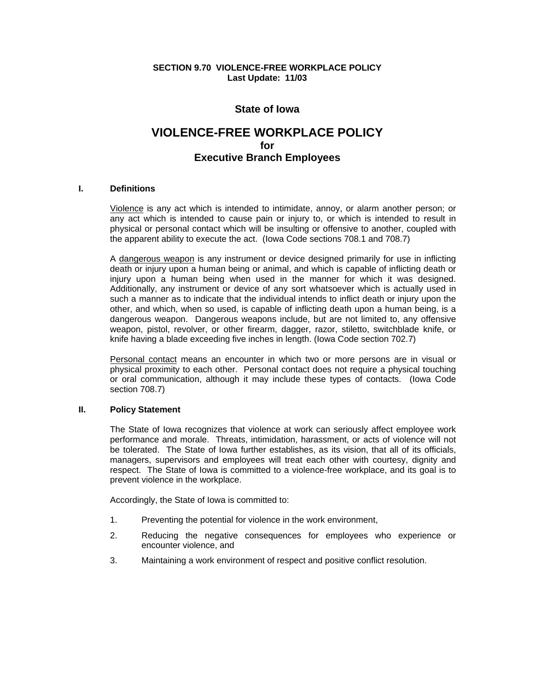**SECTION 9.70 VIOLENCE-FREE WORKPLACE POLICY Last Update: 11/03** 

# **State of Iowa**

# **VIOLENCE-FREE WORKPLACE POLICY for Executive Branch Employees**

## **I. Definitions**

Violence is any act which is intended to intimidate, annoy, or alarm another person; or any act which is intended to cause pain or injury to, or which is intended to result in physical or personal contact which will be insulting or offensive to another, coupled with the apparent ability to execute the act. (Iowa Code sections 708.1 and 708.7)

A dangerous weapon is any instrument or device designed primarily for use in inflicting death or injury upon a human being or animal, and which is capable of inflicting death or injury upon a human being when used in the manner for which it was designed. Additionally, any instrument or device of any sort whatsoever which is actually used in such a manner as to indicate that the individual intends to inflict death or injury upon the other, and which, when so used, is capable of inflicting death upon a human being, is a dangerous weapon. Dangerous weapons include, but are not limited to, any offensive weapon, pistol, revolver, or other firearm, dagger, razor, stiletto, switchblade knife, or knife having a blade exceeding five inches in length. (Iowa Code section 702.7)

Personal contact means an encounter in which two or more persons are in visual or physical proximity to each other. Personal contact does not require a physical touching or oral communication, although it may include these types of contacts. (Iowa Code section 708.7)

## **II. Policy Statement**

The State of Iowa recognizes that violence at work can seriously affect employee work performance and morale. Threats, intimidation, harassment, or acts of violence will not be tolerated. The State of Iowa further establishes, as its vision, that all of its officials, managers, supervisors and employees will treat each other with courtesy, dignity and respect. The State of Iowa is committed to a violence-free workplace, and its goal is to prevent violence in the workplace.

Accordingly, the State of Iowa is committed to:

- 1. Preventing the potential for violence in the work environment,
- 2. Reducing the negative consequences for employees who experience or encounter violence, and
- 3. Maintaining a work environment of respect and positive conflict resolution.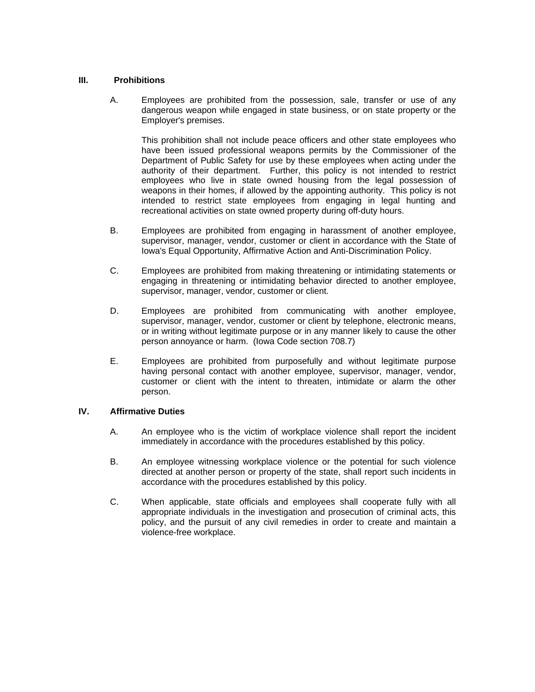## **III. Prohibitions**

A. Employees are prohibited from the possession, sale, transfer or use of any dangerous weapon while engaged in state business, or on state property or the Employer's premises.

This prohibition shall not include peace officers and other state employees who have been issued professional weapons permits by the Commissioner of the Department of Public Safety for use by these employees when acting under the authority of their department. Further, this policy is not intended to restrict employees who live in state owned housing from the legal possession of weapons in their homes, if allowed by the appointing authority. This policy is not intended to restrict state employees from engaging in legal hunting and recreational activities on state owned property during off-duty hours.

- B. Employees are prohibited from engaging in harassment of another employee, supervisor, manager, vendor, customer or client in accordance with the State of Iowa's Equal Opportunity, Affirmative Action and Anti-Discrimination Policy.
- C. Employees are prohibited from making threatening or intimidating statements or engaging in threatening or intimidating behavior directed to another employee, supervisor, manager, vendor, customer or client.
- D. Employees are prohibited from communicating with another employee, supervisor, manager, vendor, customer or client by telephone, electronic means, or in writing without legitimate purpose or in any manner likely to cause the other person annoyance or harm. (Iowa Code section 708.7)
- E. Employees are prohibited from purposefully and without legitimate purpose having personal contact with another employee, supervisor, manager, vendor, customer or client with the intent to threaten, intimidate or alarm the other person.

# **IV. Affirmative Duties**

- A. An employee who is the victim of workplace violence shall report the incident immediately in accordance with the procedures established by this policy.
- B. An employee witnessing workplace violence or the potential for such violence directed at another person or property of the state, shall report such incidents in accordance with the procedures established by this policy.
- C. When applicable, state officials and employees shall cooperate fully with all appropriate individuals in the investigation and prosecution of criminal acts, this policy, and the pursuit of any civil remedies in order to create and maintain a violence-free workplace.